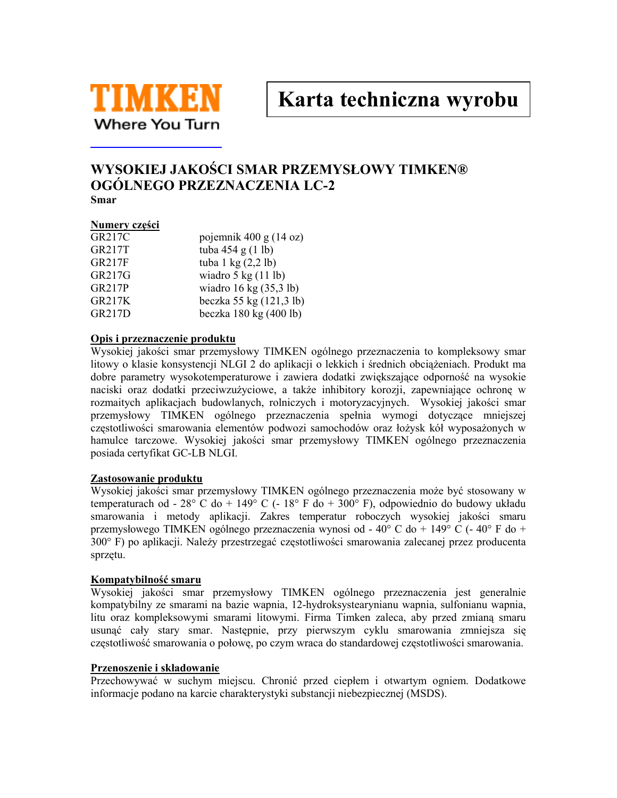

Karta techniczna wyrobu

# WYSOKIEJ JAKOŚCI SMAR PRZEMYSŁOWY TIMKEN® OGÓLNEGO PRZEZNACZENIA LC-2 Smar

### Numery części

| GR217C        | pojemnik 400 g $(14 \text{ oz})$     |
|---------------|--------------------------------------|
| <b>GR217T</b> | tuba 454 g $(1 \text{ lb})$          |
| <b>GR217F</b> | tuba $1 \text{ kg} (2,2 \text{ lb})$ |
| GR217G        | wiadro $5 \text{ kg}$ (11 lb)        |
| <b>GR217P</b> | wiadro 16 kg $(35,3 \text{ lb})$     |
| <b>GR217K</b> | beczka 55 kg (121,3 lb)              |
| <b>GR217D</b> | beczka 180 kg $(400$ lb)             |

#### Opis i przeznaczenie produktu

Wysokiej jakości smar przemysłowy TIMKEN ogólnego przeznaczenia to kompleksowy smar litowy o klasie konsystencji NLGI 2 do aplikacji o lekkich i średnich obciążeniach. Produkt ma dobre parametry wysokotemperaturowe i zawiera dodatki zwiększające odporność na wysokie naciski oraz dodatki przeciwzużyciowe, a także inhibitory korozji, zapewniające ochronę w rozmajtych aplikacjąch budowlanych, rolniczych i motoryzacyjnych. Wysokiej jakości smar przemysłowy TIMKEN ogólnego przeznaczenia spełnia wymogi dotyczące mniejszej częstotliwości smarowania elementów podwozi samochodów oraz łożysk kół wyposażonych w hamulce tarczowe. Wysokiej jakości smar przemysłowy TIMKEN ogólnego przeznaczenia posiada certyfikat GC-LB NLGI.

## Zastosowanie produktu

Wysokiej jakości smar przemysłowy TIMKEN ogólnego przeznaczenia może być stosowany w temperaturach od - 28° C do + 149° C (- 18° F do + 300° F), odpowiednio do budowy układu smarowania i metody aplikacji. Zakres temperatur roboczych wysokiej jakości smaru przemysłowego TIMKEN ogólnego przeznaczenia wynosi od - 40° C do + 149° C (- 40° F do + 300° F) po aplikacji. Należy przestrzegać częstotliwości smarowania zalecanej przez producenta sprzętu.

## Kompatybilność smaru

Wysokiej jakości smar przemysłowy TIMKEN ogólnego przeznaczenia jest generalnie kompatybilny ze smarami na bazie wapnia, 12-hydroksystearynianu wapnia, sulfonianu wapnia, litu oraz kompleksowymi smarami litowymi. Firma Timken zaleca, aby przed zmianą smaru usunąć cały stary smar. Następnie, przy pierwszym cyklu smarowania zmniejsza się częstotliwość smarowania o połowę, po czym wraca do standardowej częstotliwości smarowania.

#### Przenoszenie i składowanie

Przechowywać w suchym miejscu. Chronić przed ciepłem i otwartym ogniem. Dodatkowe informacje podano na karcie charakterystyki substancji niebezpiecznej (MSDS).